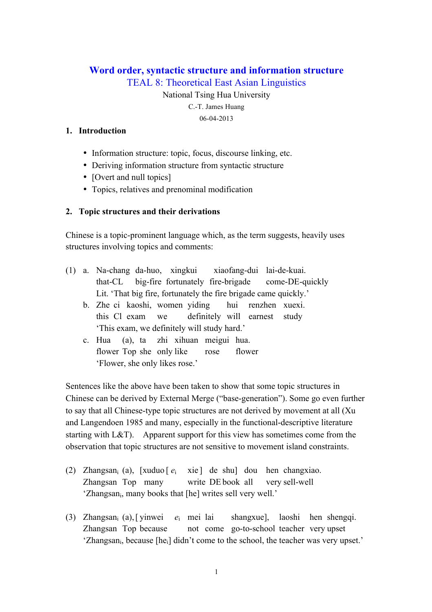# **Word order, syntactic structure and information structure**

TEAL 8: Theoretical East Asian Linguistics

National Tsing Hua University C.-T. James Huang 06-04-2013

## **1. Introduction**

- Information structure: topic, focus, discourse linking, etc.
- Deriving information structure from syntactic structure
- [Overt and null topics]
- Topics, relatives and prenominal modification

# **2. Topic structures and their derivations**

Chinese is a topic-prominent language which, as the term suggests, heavily uses structures involving topics and comments:

- (1) a. Na-chang da-huo, xingkui xiaofang-dui lai-de-kuai. that-CL big-fire fortunately fire-brigade come-DE-quickly Lit. 'That big fire, fortunately the fire brigade came quickly.'
	- b. Zhe ci kaoshi, women yiding hui renzhen xuexi. this Cl exam we definitely will earnest study 'This exam, we definitely will study hard.'
	- c. Hua (a), ta zhi xihuan meigui hua. flower Top she only like rose flower 'Flower, she only likes rose.'

Sentences like the above have been taken to show that some topic structures in Chinese can be derived by External Merge ("base-generation"). Some go even further to say that all Chinese-type topic structures are not derived by movement at all (Xu and Langendoen 1985 and many, especially in the functional-descriptive literature starting with L&T). Apparent support for this view has sometimes come from the observation that topic structures are not sensitive to movement island constraints.

- (2) Zhangsani (a), [xuduo [ *e*<sup>i</sup> xie ] de shu] dou hen changxiao. Zhangsan Top many write DE book all very sell-well 'Zhangsan<sub>i</sub>, many books that [he] writes sell very well.'
- (3) Zhangsani (a),[ yinwei *e*<sup>i</sup> mei lai shangxue], laoshi hen shengqi. Zhangsan Top because not come go-to-school teacher very upset 'Zhangsani, because [hei] didn't come to the school, the teacher was very upset.'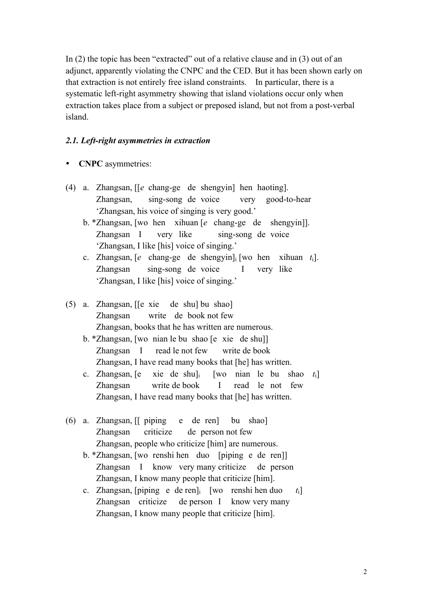In (2) the topic has been "extracted" out of a relative clause and in (3) out of an adjunct, apparently violating the CNPC and the CED. But it has been shown early on that extraction is not entirely free island constraints. In particular, there is a systematic left-right asymmetry showing that island violations occur only when extraction takes place from a subject or preposed island, but not from a post-verbal island.

## *2.1. Left-right asymmetries in extraction*

- **CNPC** asymmetries:
- (4) a. Zhangsan, [[*e* chang-ge de shengyin] hen haoting]. Zhangsan, sing-song de voice very good-to-hear 'Zhangsan, his voice of singing is very good.'
	- b. \*Zhangsan, [wo hen xihuan [*e* chang-ge de shengyin]]. Zhangsan I very like sing-song de voice 'Zhangsan, I like [his] voice of singing.'
	- c. Zhangsan, [*e* chang-ge de shengyin]i [wo hen xihuan *t*i]. Zhangsan sing-song de voice I very like 'Zhangsan, I like [his] voice of singing.'
- (5) a. Zhangsan, [[e xie de shu] bu shao] Zhangsan write de book not few Zhangsan, books that he has written are numerous.
	- b. \*Zhangsan, [wo nian le bu shao [e xie de shu]] Zhangsan I read le not few write de book Zhangsan, I have read many books that [he] has written.
	- c. Zhangsan, [e xie de shu]i [wo nian le bu shao *t*i] Zhangsan write de book I read le not few Zhangsan, I have read many books that [he] has written.
- (6) a. Zhangsan, [[ piping e de ren] bu shao] Zhangsan criticize de person not few Zhangsan, people who criticize [him] are numerous.
	- b. \*Zhangsan, [wo renshi hen duo [piping e de ren]] Zhangsan I know very many criticize de person Zhangsan, I know many people that criticize [him].
	- c. Zhangsan, [piping e de ren]i [wo renshi hen duo *t*i] Zhangsan criticize de person I know very many Zhangsan, I know many people that criticize [him].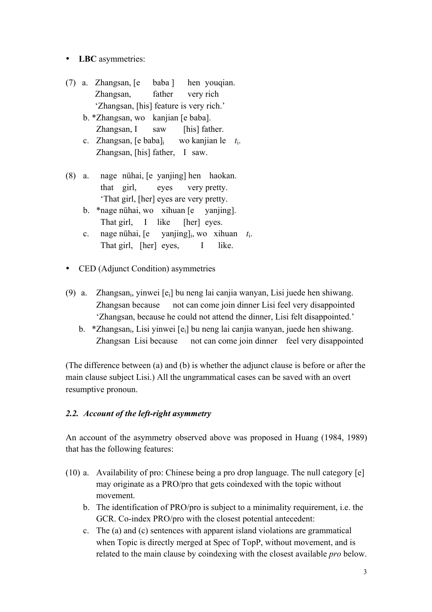- **LBC** asymmetries:
- (7) a. Zhangsan, [e baba ] hen youqian. Zhangsan, father very rich 'Zhangsan, [his] feature is very rich.' b. \*Zhangsan, wo kanjian [e baba]. Zhangsan, I saw [his] father.
	- c. Zhangsan, [e baba]i wo kanjian le *t*i. Zhangsan, [his] father, I saw.
- (8) a. nage nühai, [e yanjing] hen haokan. that girl, eyes very pretty. 'That girl, [her] eyes are very pretty.
	- b. \*nage nühai, wo xihuan [e yanjing]. That girl, I like [her] eyes.
	- c. nage nühai, [e yanjing]i, wo xihuan *t*i. That girl, [her] eyes, I like.
- CED (Adjunct Condition) asymmetries
- (9) a. Zhangsani, yinwei [ei] bu neng lai canjia wanyan, Lisi juede hen shiwang. Zhangsan because not can come join dinner Lisi feel very disappointed 'Zhangsan, because he could not attend the dinner, Lisi felt disappointed.'
	- b. \*Zhangsan<sub>i</sub>, Lisi yinwei [e<sub>i</sub>] bu neng lai canjia wanyan, juede hen shiwang. Zhangsan Lisi because not can come join dinner feel very disappointed

(The difference between (a) and (b) is whether the adjunct clause is before or after the main clause subject Lisi.) All the ungrammatical cases can be saved with an overt resumptive pronoun.

# *2.2. Account of the left-right asymmetry*

An account of the asymmetry observed above was proposed in Huang (1984, 1989) that has the following features:

- (10) a. Availability of pro: Chinese being a pro drop language. The null category [e] may originate as a PRO/pro that gets coindexed with the topic without movement.
	- b. The identification of PRO/pro is subject to a minimality requirement, i.e. the GCR. Co-index PRO/pro with the closest potential antecedent:
	- c. The (a) and (c) sentences with apparent island violations are grammatical when Topic is directly merged at Spec of TopP, without movement, and is related to the main clause by coindexing with the closest available *pro* below.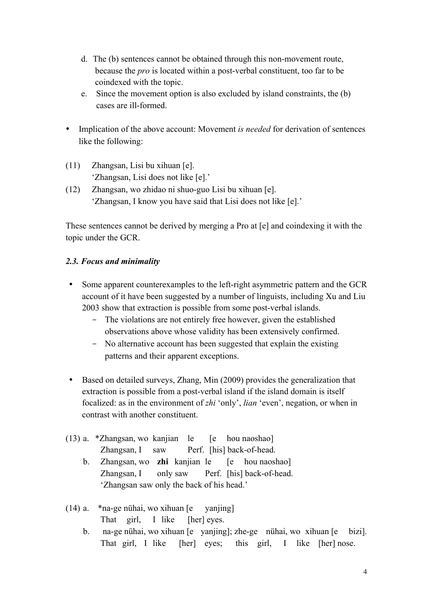- d. The (b) sentences cannot be obtained through this non-movement route, because the *pro* is located within a post-verbal constituent, too far to be coindexed with the topic.
- e. Since the movement option is also excluded by island constraints, the (b) cases are ill-formed.
- Implication of the above account: Movement *is needed* for derivation of sentences like the following:
- (11) Zhangsan, Lisi bu xihuan [e]. 'Zhangsan, Lisi does not like [e].'
- (12) Zhangsan, wo zhidao ni shuo-guo Lisi bu xihuan [e]. 'Zhangsan, I know you have said that Lisi does not like [e].'

These sentences cannot be derived by merging a Pro at [e] and coindexing it with the topic under the GCR.

# *2.3. Focus and minimality*

- Some apparent counterexamples to the left-right asymmetric pattern and the GCR account of it have been suggested by a number of linguists, including Xu and Liu 2003 show that extraction is possible from some post-verbal islands.
	- The violations are not entirely free however, given the established observations above whose validity has been extensively confirmed.
	- No alternative account has been suggested that explain the existing patterns and their apparent exceptions.
- Based on detailed surveys, Zhang, Min (2009) provides the generalization that extraction is possible from a post-verbal island if the island domain is itself focalized: as in the environment of *zhi* 'only', *lian* 'even', negation, or when in contrast with another constituent.
- (13) a. \*Zhangsan, wo kanjian le [e hou naoshao] Zhangsan, I saw Perf. [his] back-of-head.
	- b. Zhangsan, wo **zhi** kanjian le [e hou naoshao] Zhangsan, I only saw Perf. [his] back-of-head. 'Zhangsan saw only the back of his head.'
- (14) a. \*na-ge nühai, wo xihuan [e yanjing] That girl, I like [her] eyes.
	- b. na-ge nühai, wo xihuan [e yanjing]; zhe-ge nühai, wo xihuan [e bizi]. That girl, I like [her] eyes; this girl, I like [her] nose.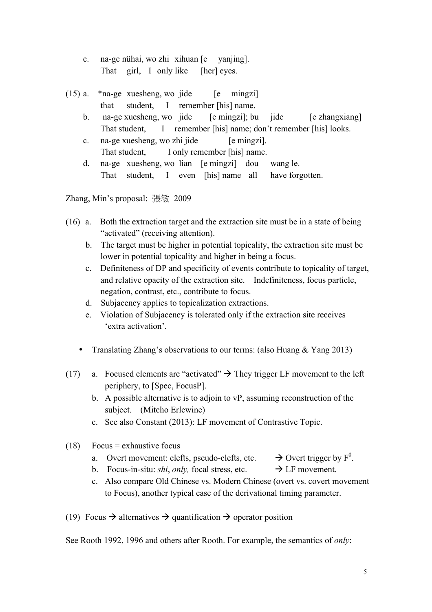- c. na-ge nühai, wo zhi xihuan [e yanjing]. That girl, I only like [her] eyes.
- (15) a.  $*$ na-ge xuesheng, wo jide [e mingzi] that student, I remember [his] name.
	- b. na-ge xuesheng, wo jide [e mingzi]; bu jide [e zhangxiang] That student, I remember [his] name; don't remember [his] looks.
	- c. na-ge xuesheng, wo zhi jide [e mingzi]. That student, I only remember [his] name.
	- d. na-ge xuesheng, wo lian [e mingzi] dou wang le. That student, I even [his] name all have forgotten.

Zhang, Min's proposal: 張敏 2009

- (16) a. Both the extraction target and the extraction site must be in a state of being "activated" (receiving attention).
	- b. The target must be higher in potential topicality, the extraction site must be lower in potential topicality and higher in being a focus.
	- c. Definiteness of DP and specificity of events contribute to topicality of target, and relative opacity of the extraction site. Indefiniteness, focus particle, negation, contrast, etc., contribute to focus.
	- d. Subjacency applies to topicalization extractions.
	- e. Violation of Subjacency is tolerated only if the extraction site receives 'extra activation'.
	- Translating Zhang's observations to our terms: (also Huang & Yang 2013)
- (17) a. Focused elements are "activated"  $\rightarrow$  They trigger LF movement to the left periphery, to [Spec, FocusP].
	- b. A possible alternative is to adjoin to vP, assuming reconstruction of the subject. (Mitcho Erlewine)
	- c. See also Constant (2013): LF movement of Contrastive Topic.
- $(18)$  Focus = exhaustive focus
	- a. Overt movement: clefts, pseudo-clefts, etc.  $\rightarrow$  Overt trigger by F<sup>0</sup>.
	- b. Focus-in-situ: *shi*, *only*, focal stress, etc.  $\rightarrow$  LF movement.
	- c. Also compare Old Chinese vs. Modern Chinese (overt vs. covert movement to Focus), another typical case of the derivational timing parameter.
- (19) Focus  $\rightarrow$  alternatives  $\rightarrow$  quantification  $\rightarrow$  operator position

See Rooth 1992, 1996 and others after Rooth. For example, the semantics of *only*: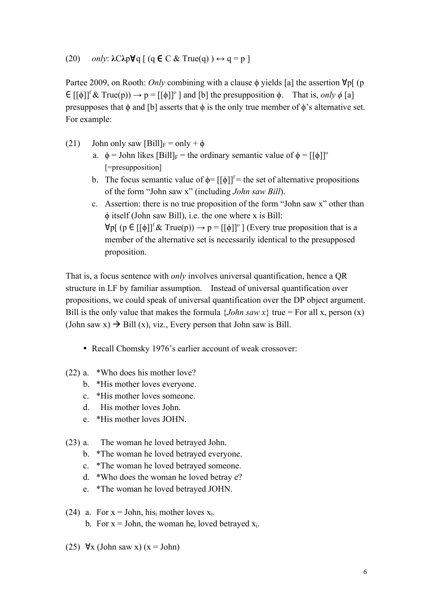### (20) *only*: **λ**C**λ**p∀q [ (q ∈ C & True(q) ) **↔** q = p ]

Partee 2009, on Rooth: *Only* combining with a clause ϕ yields [a] the assertion ∀p[ (p  $\in [[\phi]]^{\text{f}} \& \text{True}(p) \rightarrow p = [[\phi]]^{\circ}]$  and [b] the presupposition  $\phi$ . That is, *only*  $\phi$  [a] presupposes that  $\phi$  and [b] asserts that  $\phi$  is the only true member of  $\phi$ 's alternative set. For example:

- (21) John only saw  $[Bill]_F = only \phi$ 
	- a.  $\phi =$  John likes  $[B\text{ill}]_F$  = the ordinary semantic value of  $\phi = [f\phi]$ <sup>o</sup> [=presupposition]
	- b. The focus semantic value of  $\phi = [[\phi]]^{\dagger}$  = the set of alternative propositions of the form "John saw x" (including *John saw Bill*).
	- c. Assertion: there is no true proposition of the form "John saw x" other than ϕ itself (John saw Bill), i.e. the one where x is Bill:  $\forall p$ [ (p  $\in [[\phi]]^{\mathrm{f}} \&$  True(p))  $\rightarrow p = [[\phi]]^{\mathrm{o}}$  ] (Every true proposition that is a member of the alternative set is necessarily identical to the presupposed proposition.

That is, a focus sentence with *only* involves universal quantification, hence a QR structure in LF by familiar assumption. Instead of universal quantification over propositions, we could speak of universal quantification over the DP object argument. Bill is the only value that makes the formula  $\{John saw x\}$  true = For all x, person (x) (John saw x)  $\rightarrow$  Bill (x), viz., Every person that John saw is Bill.

- Recall Chomsky 1976's earlier account of weak crossover:
- (22) a. \*Who does his mother love?
	- b. \*His mother loves everyone.
	- c. \*His mother loves someone.
	- d. His mother loves John.
	- e. \*His mother loves JOHN.
- (23) a. The woman he loved betrayed John.
	- b. \*The woman he loved betrayed everyone.
	- c. \*The woman he loved betrayed someone.
	- d. \*Who does the woman he loved betray e?
	- e. \*The woman he loved betrayed JOHN.
- (24) a. For  $x =$  John, his<sub>i</sub> mother loves  $x_i$ . b. For  $x =$  John, the woman heal loved betraved  $x_i$ .
- (25)  $\forall$ x (John saw x) (x = John)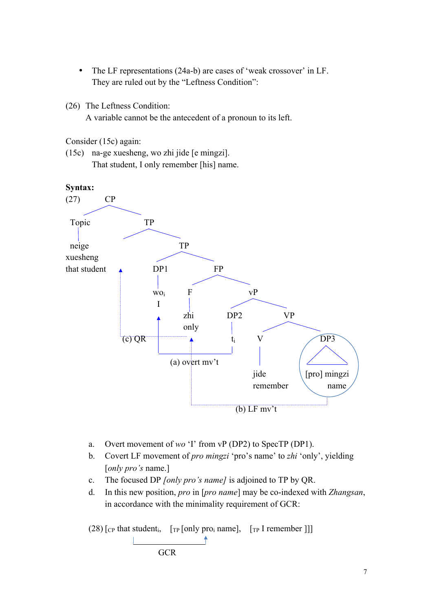- The LF representations (24a-b) are cases of 'weak crossover' in LF. They are ruled out by the "Leftness Condition":
- (26) The Leftness Condition:

A variable cannot be the antecedent of a pronoun to its left.

Consider (15c) again:

(15c) na-ge xuesheng, wo zhi jide [e mingzi]. That student, I only remember [his] name.



- a. Overt movement of *wo* 'I' from vP (DP2) to SpecTP (DP1).
- b. Covert LF movement of *pro mingzi* 'pro's name' to *zhi* 'only', yielding [*only pro's* name.]
- c. The focused DP *[only pro's name]* is adjoined to TP by QR.
- d. In this new position, *pro* in [*pro name*] may be co-indexed with *Zhangsan*, in accordance with the minimality requirement of GCR:

 $(28)$  [<sub>CP</sub> that student<sub>i</sub>, [<sub>TP</sub> [only pro<sub>i</sub> name], [<sub>TP</sub> I remember ]]] **GCR**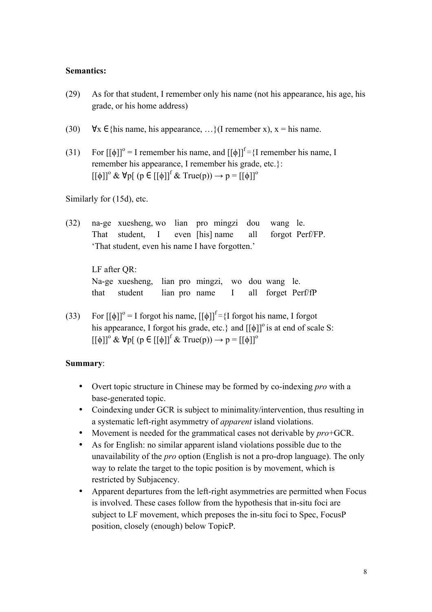### **Semantics:**

- (29) As for that student, I remember only his name (not his appearance, his age, his grade, or his home address)
- (30)  $\forall x \in \{\text{his name}, \text{his appearance}, ...\}$  (I remember x),  $x = \text{his name}.$
- (31) For  $[[\phi]]^{\circ} = I$  remember his name, and  $[[\phi]]^{\circ} = \{I \text{ remember his name, } I\}$ remember his appearance, I remember his grade, etc.}:  $[[\phi]]^{\circ} \& \forall p [$  (p  $\in [[\phi]]^{\circ} \& \text{True}(p)) \rightarrow p = [[\phi]]^{\circ}$

Similarly for (15d), etc.

(32) na-ge xuesheng, wo lian pro mingzi dou wang le. That student, I even [his] name all forgot Perf/FP. 'That student, even his name I have forgotten.'

LF after QR: Na-ge xuesheng, lian pro mingzi, wo dou wang le. that student lian pro name I all forget Perf/fP

(33) For  $[[\phi]]^{\circ} = I$  forgot his name,  $[[\phi]]^{\circ} = \{I \text{ for got his name, } I \text{ for got } I\}$ his appearance, I forgot his grade, etc.} and  $[[\phi]]^{\circ}$  is at end of scale S:  $[[\phi]]^{\circ} \& \forall p [ (p \in [[\phi]]^{\circ} \& \text{True}(p)) \rightarrow p = [[\phi]]^{\circ}$ 

#### **Summary**:

- Overt topic structure in Chinese may be formed by co-indexing *pro* with a base-generated topic.
- Coindexing under GCR is subject to minimality/intervention, thus resulting in a systematic left-right asymmetry of *apparent* island violations.
- Movement is needed for the grammatical cases not derivable by *pro*+GCR.
- As for English: no similar apparent island violations possible due to the unavailability of the *pro* option (English is not a pro-drop language). The only way to relate the target to the topic position is by movement, which is restricted by Subjacency.
- Apparent departures from the left-right asymmetries are permitted when Focus is involved. These cases follow from the hypothesis that in-situ foci are subject to LF movement, which preposes the in-situ foci to Spec, FocusP position, closely (enough) below TopicP.